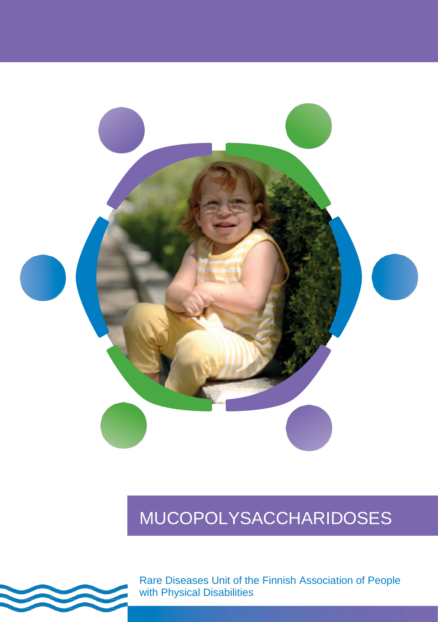

# MUCOPOLYSACCHARIDOSES



Rare Diseases Unit of the Finnish Association of People with Physical Disabilities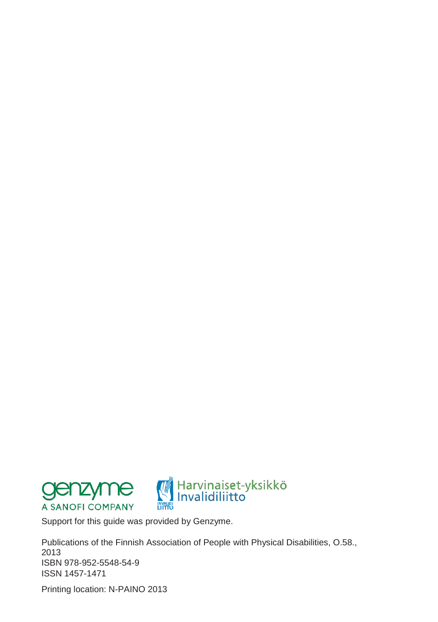



Support for this guide was provided by Genzyme.

Publications of the Finnish Association of People with Physical Disabilities, O.58., 2013 ISBN 978-952-5548-54-9 ISSN 1457-1471

Printing location: N-PAINO 2013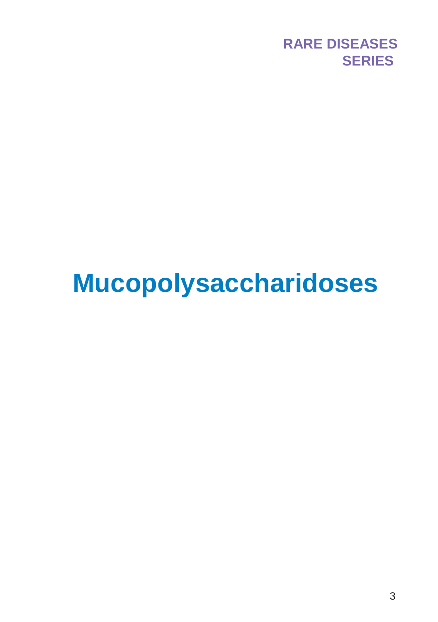

# **Mucopolysaccharidoses**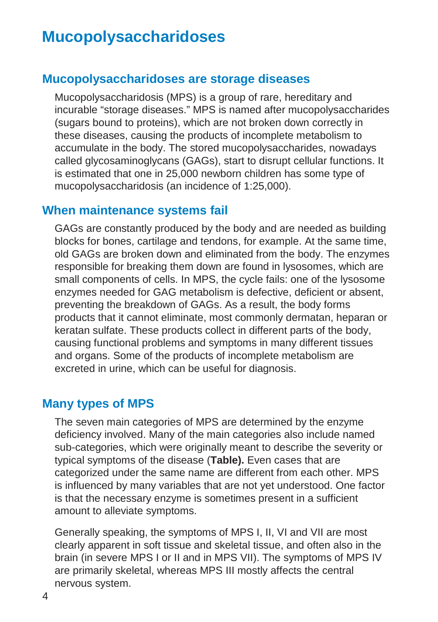# **Mucopolysaccharidoses**

### **Mucopolysaccharidoses are storage diseases**

Mucopolysaccharidosis (MPS) is a group of rare, hereditary and incurable "storage diseases." MPS is named after mucopolysaccharides (sugars bound to proteins), which are not broken down correctly in these diseases, causing the products of incomplete metabolism to accumulate in the body. The stored mucopolysaccharides, nowadays called glycosaminoglycans (GAGs), start to disrupt cellular functions. It is estimated that one in 25,000 newborn children has some type of mucopolysaccharidosis (an incidence of 1:25,000).

#### **When maintenance systems fail**

GAGs are constantly produced by the body and are needed as building blocks for bones, cartilage and tendons, for example. At the same time, old GAGs are broken down and eliminated from the body. The enzymes responsible for breaking them down are found in lysosomes, which are small components of cells. In MPS, the cycle fails: one of the lysosome enzymes needed for GAG metabolism is defective, deficient or absent, preventing the breakdown of GAGs. As a result, the body forms products that it cannot eliminate, most commonly dermatan, heparan or keratan sulfate. These products collect in different parts of the body, causing functional problems and symptoms in many different tissues and organs. Some of the products of incomplete metabolism are excreted in urine, which can be useful for diagnosis.

#### **Many types of MPS**

The seven main categories of MPS are determined by the enzyme deficiency involved. Many of the main categories also include named sub-categories, which were originally meant to describe the severity or typical symptoms of the disease (**Table).** Even cases that are categorized under the same name are different from each other. MPS is influenced by many variables that are not yet understood. One factor is that the necessary enzyme is sometimes present in a sufficient amount to alleviate symptoms.

Generally speaking, the symptoms of MPS I, II, VI and VII are most clearly apparent in soft tissue and skeletal tissue, and often also in the brain (in severe MPS I or II and in MPS VII). The symptoms of MPS IV are primarily skeletal, whereas MPS III mostly affects the central nervous system.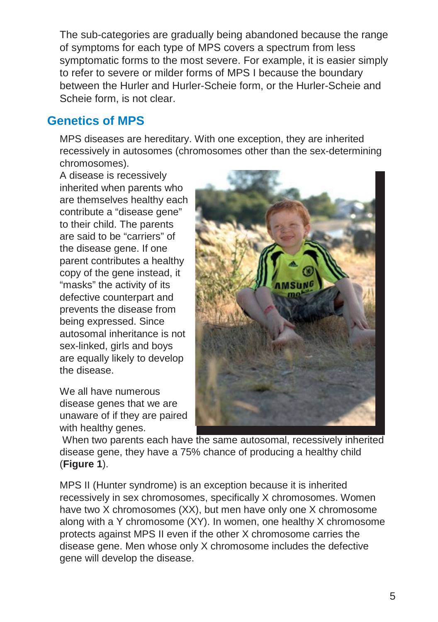The sub-categories are gradually being abandoned because the range of symptoms for each type of MPS covers a spectrum from less symptomatic forms to the most severe. For example, it is easier simply to refer to severe or milder forms of MPS I because the boundary between the Hurler and Hurler-Scheie form, or the Hurler-Scheie and Scheie form, is not clear.

# **Genetics of MPS**

MPS diseases are hereditary. With one exception, they are inherited recessively in autosomes (chromosomes other than the sex-determining chromosomes).

A disease is recessively inherited when parents who are themselves healthy each contribute a "disease gene" to their child. The parents are said to be "carriers" of the disease gene. If one parent contributes a healthy copy of the gene instead, it "masks" the activity of its defective counterpart and prevents the disease from being expressed. Since autosomal inheritance is not sex-linked, girls and boys are equally likely to develop the disease.

We all have numerous disease genes that we are unaware of if they are paired with healthy genes.



When two parents each have the same autosomal, recessively inherited disease gene, they have a 75% chance of producing a healthy child (**Figure 1**).

MPS II (Hunter syndrome) is an exception because it is inherited recessively in sex chromosomes, specifically X chromosomes. Women have two X chromosomes (XX), but men have only one X chromosome along with a Y chromosome (XY). In women, one healthy X chromosome protects against MPS II even if the other X chromosome carries the disease gene. Men whose only X chromosome includes the defective gene will develop the disease.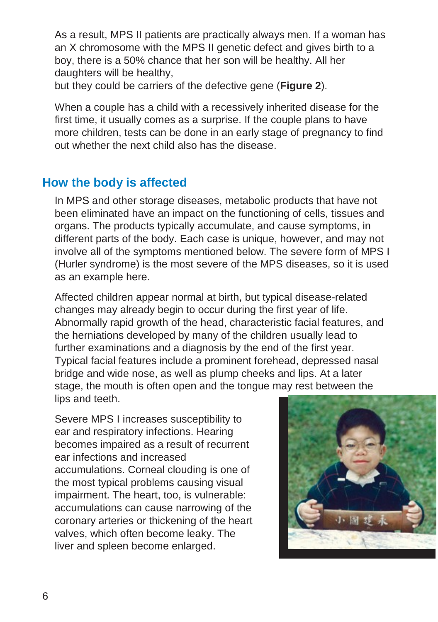As a result, MPS II patients are practically always men. If a woman has an X chromosome with the MPS II genetic defect and gives birth to a boy, there is a 50% chance that her son will be healthy. All her daughters will be healthy,

but they could be carriers of the defective gene (**Figure 2**).

When a couple has a child with a recessively inherited disease for the first time, it usually comes as a surprise. If the couple plans to have more children, tests can be done in an early stage of pregnancy to find out whether the next child also has the disease.

# **How the body is affected**

In MPS and other storage diseases, metabolic products that have not been eliminated have an impact on the functioning of cells, tissues and organs. The products typically accumulate, and cause symptoms, in different parts of the body. Each case is unique, however, and may not involve all of the symptoms mentioned below. The severe form of MPS I (Hurler syndrome) is the most severe of the MPS diseases, so it is used as an example here.

Affected children appear normal at birth, but typical disease-related changes may already begin to occur during the first year of life. Abnormally rapid growth of the head, characteristic facial features, and the herniations developed by many of the children usually lead to further examinations and a diagnosis by the end of the first year. Typical facial features include a prominent forehead, depressed nasal bridge and wide nose, as well as plump cheeks and lips. At a later stage, the mouth is often open and the tongue may rest between the lips and teeth.

Severe MPS I increases susceptibility to ear and respiratory infections. Hearing becomes impaired as a result of recurrent ear infections and increased accumulations. Corneal clouding is one of the most typical problems causing visual impairment. The heart, too, is vulnerable: accumulations can cause narrowing of the coronary arteries or thickening of the heart valves, which often become leaky. The liver and spleen become enlarged.

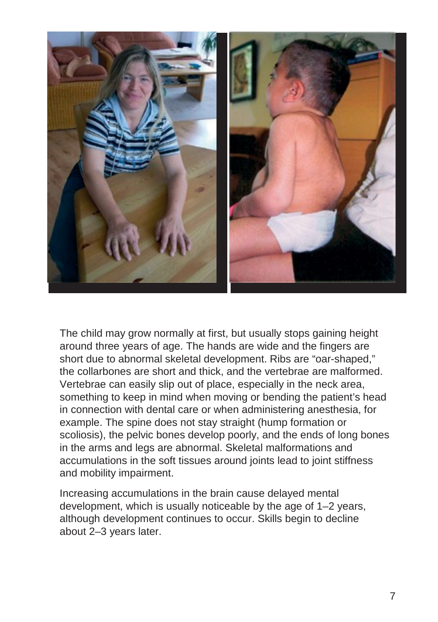

The child may grow normally at first, but usually stops gaining height around three years of age. The hands are wide and the fingers are short due to abnormal skeletal development. Ribs are "oar-shaped," the collarbones are short and thick, and the vertebrae are malformed. Vertebrae can easily slip out of place, especially in the neck area, something to keep in mind when moving or bending the patient's head in connection with dental care or when administering anesthesia, for example. The spine does not stay straight (hump formation or scoliosis), the pelvic bones develop poorly, and the ends of long bones in the arms and legs are abnormal. Skeletal malformations and accumulations in the soft tissues around joints lead to joint stiffness and mobility impairment.

Increasing accumulations in the brain cause delayed mental development, which is usually noticeable by the age of 1–2 years, although development continues to occur. Skills begin to decline about 2–3 years later.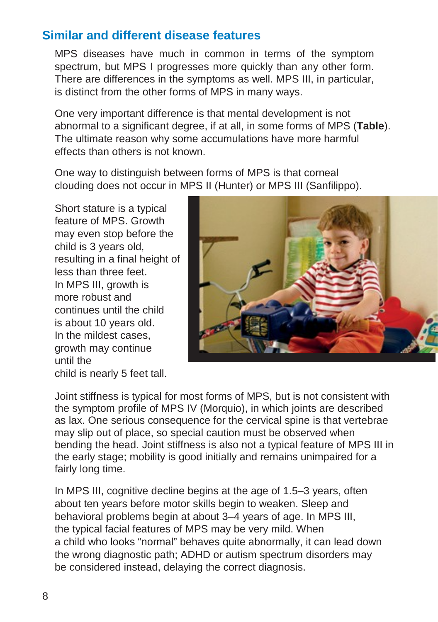# **Similar and different disease features**

MPS diseases have much in common in terms of the symptom spectrum, but MPS I progresses more quickly than any other form. There are differences in the symptoms as well. MPS III, in particular, is distinct from the other forms of MPS in many ways.

One very important difference is that mental development is not abnormal to a significant degree, if at all, in some forms of MPS (**Table**). The ultimate reason why some accumulations have more harmful effects than others is not known.

One way to distinguish between forms of MPS is that corneal clouding does not occur in MPS II (Hunter) or MPS III (Sanfilippo).

Short stature is a typical feature of MPS. Growth may even stop before the child is 3 years old, resulting in a final height of less than three feet. In MPS III, growth is more robust and continues until the child is about 10 years old. In the mildest cases, growth may continue until the child is nearly 5 feet tall.



Joint stiffness is typical for most forms of MPS, but is not consistent with the symptom profile of MPS IV (Morquio), in which joints are described as lax. One serious consequence for the cervical spine is that vertebrae may slip out of place, so special caution must be observed when bending the head. Joint stiffness is also not a typical feature of MPS III in the early stage; mobility is good initially and remains unimpaired for a fairly long time.

In MPS III, cognitive decline begins at the age of 1.5–3 years, often about ten years before motor skills begin to weaken. Sleep and behavioral problems begin at about 3–4 years of age. In MPS III, the typical facial features of MPS may be very mild. When a child who looks "normal" behaves quite abnormally, it can lead down the wrong diagnostic path; ADHD or autism spectrum disorders may be considered instead, delaying the correct diagnosis.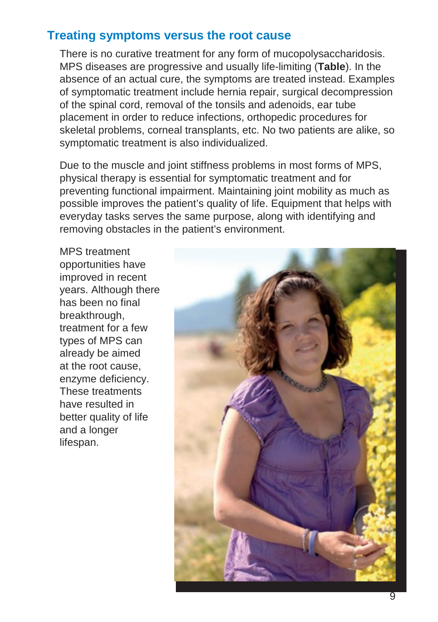## **Treating symptoms versus the root cause**

There is no curative treatment for any form of mucopolysaccharidosis. MPS diseases are progressive and usually life-limiting (**Table**). In the absence of an actual cure, the symptoms are treated instead. Examples of symptomatic treatment include hernia repair, surgical decompression of the spinal cord, removal of the tonsils and adenoids, ear tube placement in order to reduce infections, orthopedic procedures for skeletal problems, corneal transplants, etc. No two patients are alike, so symptomatic treatment is also individualized.

Due to the muscle and joint stiffness problems in most forms of MPS, physical therapy is essential for symptomatic treatment and for preventing functional impairment. Maintaining joint mobility as much as possible improves the patient's quality of life. Equipment that helps with everyday tasks serves the same purpose, along with identifying and removing obstacles in the patient's environment.

MPS treatment opportunities have improved in recent years. Although there has been no final breakthrough, treatment for a few types of MPS can already be aimed at the root cause, enzyme deficiency. These treatments have resulted in better quality of life and a longer lifespan.

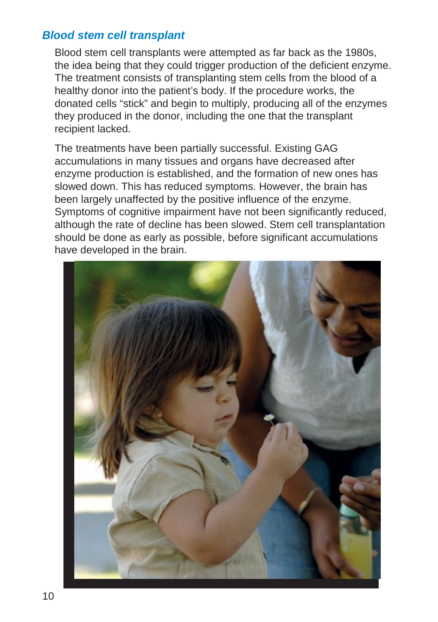#### *Blood stem cell transplant*

Blood stem cell transplants were attempted as far back as the 1980s, the idea being that they could trigger production of the deficient enzyme. The treatment consists of transplanting stem cells from the blood of a healthy donor into the patient's body. If the procedure works, the donated cells "stick" and begin to multiply, producing all of the enzymes they produced in the donor, including the one that the transplant recipient lacked.

The treatments have been partially successful. Existing GAG accumulations in many tissues and organs have decreased after enzyme production is established, and the formation of new ones has slowed down. This has reduced symptoms. However, the brain has been largely unaffected by the positive influence of the enzyme. Symptoms of cognitive impairment have not been significantly reduced, although the rate of decline has been slowed. Stem cell transplantation should be done as early as possible, before significant accumulations have developed in the brain.

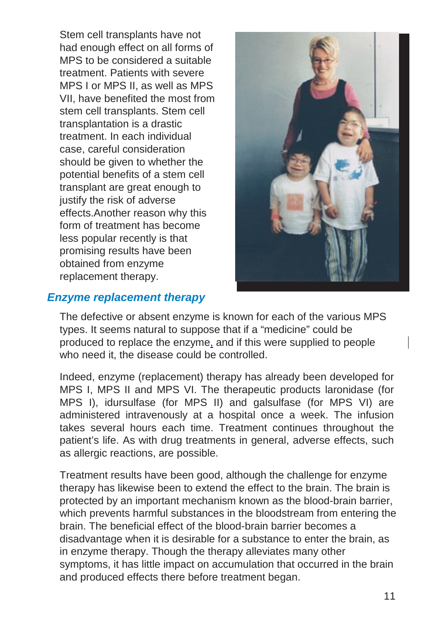Stem cell transplants have not had enough effect on all forms of MPS to be considered a suitable treatment. Patients with severe MPS I or MPS II, as well as MPS VII, have benefited the most from stem cell transplants. Stem cell transplantation is a drastic treatment. In each individual case, careful consideration should be given to whether the potential benefits of a stem cell transplant are great enough to justify the risk of adverse effects.Another reason why this form of treatment has become less popular recently is that promising results have been obtained from enzyme replacement therapy.



#### *Enzyme replacement therapy*

The defective or absent enzyme is known for each of the various MPS types. It seems natural to suppose that if a "medicine" could be produced to replace the enzyme, and if this were supplied to people who need it, the disease could be controlled.

Indeed, enzyme (replacement) therapy has already been developed for MPS I, MPS II and MPS VI. The therapeutic products laronidase (for MPS I), idursulfase (for MPS II) and galsulfase (for MPS VI) are administered intravenously at a hospital once a week. The infusion takes several hours each time. Treatment continues throughout the patient's life. As with drug treatments in general, adverse effects, such as allergic reactions, are possible.

Treatment results have been good, although the challenge for enzyme therapy has likewise been to extend the effect to the brain. The brain is protected by an important mechanism known as the blood-brain barrier, which prevents harmful substances in the bloodstream from entering the brain. The beneficial effect of the blood-brain barrier becomes a disadvantage when it is desirable for a substance to enter the brain, as in enzyme therapy. Though the therapy alleviates many other symptoms, it has little impact on accumulation that occurred in the brain and produced effects there before treatment began.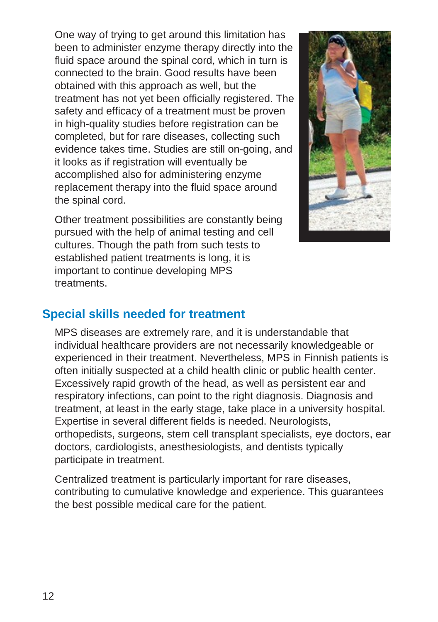One way of trying to get around this limitation has been to administer enzyme therapy directly into the fluid space around the spinal cord, which in turn is connected to the brain. Good results have been obtained with this approach as well, but the treatment has not yet been officially registered. The safety and efficacy of a treatment must be proven in high-quality studies before registration can be completed, but for rare diseases, collecting such evidence takes time. Studies are still on-going, and it looks as if registration will eventually be accomplished also for administering enzyme replacement therapy into the fluid space around the spinal cord.

Other treatment possibilities are constantly being pursued with the help of animal testing and cell cultures. Though the path from such tests to established patient treatments is long, it is important to continue developing MPS treatments.



### **Special skills needed for treatment**

MPS diseases are extremely rare, and it is understandable that individual healthcare providers are not necessarily knowledgeable or experienced in their treatment. Nevertheless, MPS in Finnish patients is often initially suspected at a child health clinic or public health center. Excessively rapid growth of the head, as well as persistent ear and respiratory infections, can point to the right diagnosis. Diagnosis and treatment, at least in the early stage, take place in a university hospital. Expertise in several different fields is needed. Neurologists, orthopedists, surgeons, stem cell transplant specialists, eye doctors, ear doctors, cardiologists, anesthesiologists, and dentists typically participate in treatment.

Centralized treatment is particularly important for rare diseases, contributing to cumulative knowledge and experience. This guarantees the best possible medical care for the patient.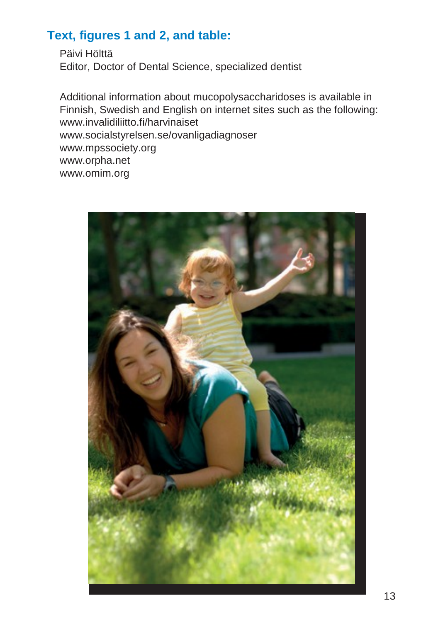# **Text, figures 1 and 2, and table:**

Päivi Hölttä Editor, Doctor of Dental Science, specialized dentist

Additional information about mucopolysaccharidoses is available in Finnish, Swedish and English on internet sites such as the following[:](http://www.invalidiliitto.fi/harvinaiset) [www.invalidiliitto.fi/harvinaiset](http://www.invalidiliitto.fi/harvinaiset) [www.socialstyrelsen.se/ovanligadiagnoser](http://www.socialstyrelsen.se/ovanligadiagnoser)  [www.mpssociety.org](http://www.mpssociety.org/) [www.orpha.net](http://www.orpha.net/)  [www.omim.org](http://www.omim.org/)

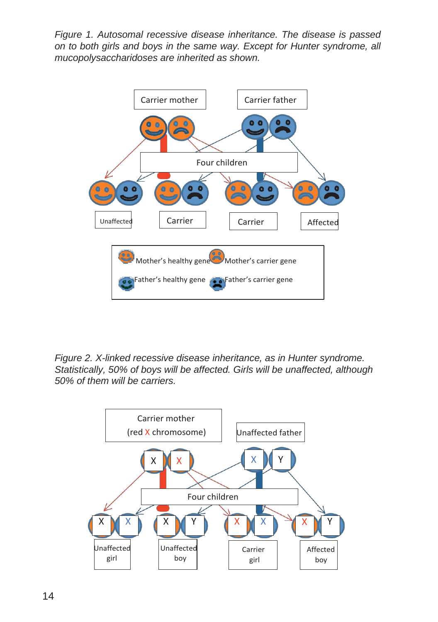*Figure 1. Autosomal recessive disease inheritance. The disease is passed on to both girls and boys in the same way. Except for Hunter syndrome, all mucopolysaccharidoses are inherited as shown.*



*Figure 2. X-linked recessive disease inheritance, as in Hunter syndrome. Statistically, 50% of boys will be affected. Girls will be unaffected, although 50% of them will be carriers.*

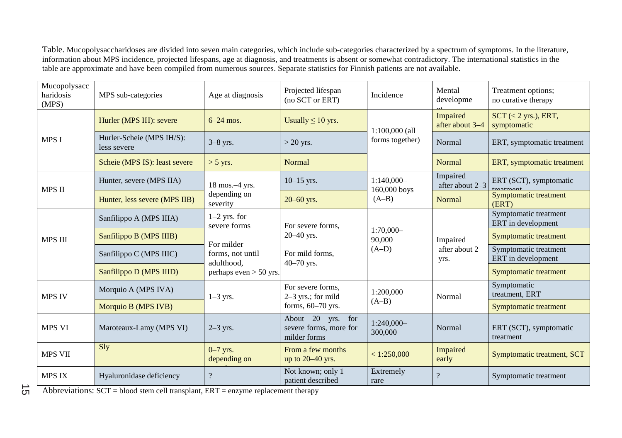Table. Mucopolysaccharidoses are divided into seven main categories, which include sub-categories characterized by a spectrum of symptoms. In the literature, information about MPS incidence, projected lifespans, age at diagnosis, and treatments is absent or somewhat contradictory. The international statistics in the table are approximate and have been compiled from numerous sources. Separate statistics for Finnish patients are not available.

| Mucopolysacc<br>haridosis<br>(MPS) | MPS sub-categories                       | Age at diagnosis                                                                                           | Projected lifespan<br>(no SCT or ERT)                                    | Incidence                               | Mental<br>developme               | Treatment options;<br>no curative therapy   |
|------------------------------------|------------------------------------------|------------------------------------------------------------------------------------------------------------|--------------------------------------------------------------------------|-----------------------------------------|-----------------------------------|---------------------------------------------|
| <b>MPS I</b>                       | Hurler (MPS IH): severe                  | $6-24$ mos.                                                                                                | Usually $\leq 10$ yrs.                                                   | $1:100,000$ (all<br>forms together)     | Impaired<br>after about 3-4       | $SCT$ (< 2 yrs.), ERT,<br>symptomatic       |
|                                    | Hurler-Scheie (MPS IH/S):<br>less severe | $3-8$ yrs.                                                                                                 | $>$ 20 yrs.                                                              |                                         | Normal                            | ERT, symptomatic treatment                  |
|                                    | Scheie (MPS IS): least severe            | $> 5$ yrs.                                                                                                 | Normal                                                                   |                                         | Normal                            | ERT, symptomatic treatment                  |
| <b>MPS II</b>                      | Hunter, severe (MPS IIA)                 | 18 mos.-4 yrs.<br>depending on<br>severity                                                                 | $10-15$ yrs.                                                             | $1:140,000-$<br>160,000 boys<br>$(A-B)$ | Impaired<br>after about 2-3       | ERT (SCT), symptomatic                      |
|                                    | Hunter, less severe (MPS IIB)            |                                                                                                            | $20 - 60$ yrs.                                                           |                                         | <b>Normal</b>                     | Symptomatic treatment<br>(ERT)              |
| <b>MPS III</b>                     | Sanfilippo A (MPS IIIA)                  | $1-2$ yrs. for<br>severe forms<br>For milder<br>forms, not until<br>adulthood,<br>perhaps even $>$ 50 yrs. | For severe forms,<br>$20 - 40$ yrs.<br>For mild forms.<br>$40 - 70$ yrs. | $1:70,000-$<br>90,000<br>$(A-D)$        | Impaired<br>after about 2<br>yrs. | Symptomatic treatment<br>ERT in development |
|                                    | Sanfilippo B (MPS IIIB)                  |                                                                                                            |                                                                          |                                         |                                   | Symptomatic treatment                       |
|                                    | Sanfilippo C (MPS IIIC)                  |                                                                                                            |                                                                          |                                         |                                   | Symptomatic treatment<br>ERT in development |
|                                    | Sanfilippo D (MPS IIID)                  |                                                                                                            |                                                                          |                                         |                                   | Symptomatic treatment                       |
| MPS IV                             | Morquio A (MPS IVA)                      | $1-3$ yrs.                                                                                                 | For severe forms.<br>$2-3$ yrs.; for mild<br>forms, $60-70$ yrs.         | 1:200,000<br>$(A-B)$                    | Normal                            | Symptomatic<br>treatment, ERT               |
|                                    | Morquio B (MPS IVB)                      |                                                                                                            |                                                                          |                                         |                                   | Symptomatic treatment                       |
| <b>MPS VI</b>                      | Maroteaux-Lamy (MPS VI)                  | $2-3$ yrs.                                                                                                 | About 20 yrs. for<br>severe forms, more for<br>milder forms              | 1:240,000-<br>300,000                   | Normal                            | ERT (SCT), symptomatic<br>treatment         |
| <b>MPS VII</b>                     | Sly                                      | $0-7$ yrs.<br>depending on                                                                                 | From a few months<br>up to 20–40 yrs.                                    | < 1:250,000                             | Impaired<br>early                 | Symptomatic treatment, SCT                  |
| <b>MPS IX</b>                      | Hyaluronidase deficiency                 | $\overline{?}$                                                                                             | Not known; only 1<br>patient described                                   | Extremely<br>rare                       | $\overline{\cdot}$                | Symptomatic treatment                       |

 $\vec{\sigma}$ Abbreviations:  $SCT = blood$  stem cell transplant,  $ERT = enzyme$  replacement therapy